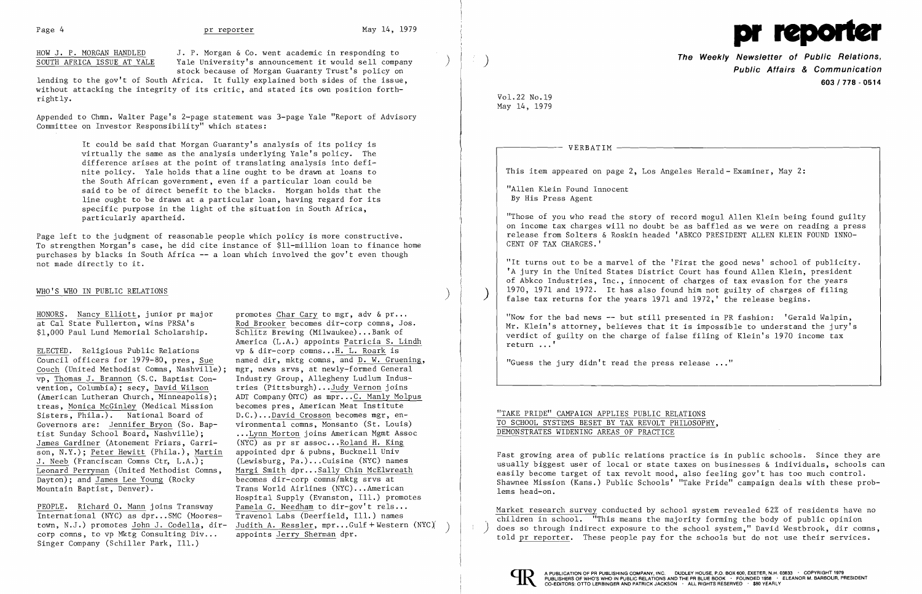HOW J. P. MORGAN HANDLED J. P. Morgan & Co. went academic in responding to SOUTH AFRICA ISSUE AT YALE Yale University's announcement it would sell compa Yale University's announcement it would sell company stock because of Morgan Guaranty Trust's policy on

lending to the gov't of South Africa. It fully explained both sides of the issue, without attacking the integrity of its critic, and stated its own position forthrightly.

Appended to Chmn. Walter Page's 2-page statement was 3-page Yale "Report of Advisory Committee on Investor Responsibility" which states:

## WHO'S WHO IN PUBLIC RELATIONS ) and the contract of  $\mathcal{L}$  (  $\mathcal{L}$  ) and  $\mathcal{L}$  (  $\mathcal{L}$  ) and  $\mathcal{L}$

HONORS. Nancy Elliott, junior pr major promotes Char Cary to mgr, adv & pr...<br>at Cal State Fullerton, wins PRSA's Rod Brooker becomes dir-corp comns, Jo.

It could be said that Morgan Guaranty's analysis of its policy is virtually the same as the analysis underlying Yale's policy. The difference arises at the point of translating analysis into definite policy. Yale holds that a line ought to be drawn at loans to the South African government, even if a particular loan could be said to be of direct benefit to the blacks. Morgan holds that the line ought to be drawn at a particular loan, having regard for its specific purpose in the light of the situation in South Africa, particularly apartheid.

Page left to the judgment of reasonable people which policy is more constructive. To strengthen Morgan's case, he did cite instance of \$ll-million loan to finance home purchases by blacks in South Africa **--** a loan which involved the gov't even though not made directly to it.

ELECTED. Religious Public Relations vp & dir-corp comns... H. L. Roark is<br>Council officers for 1979-80, pres, Sue named dir, mktg comns, and D. W. Grue Couch (United Methodist Comns, Nashville); mgr, news srvs, at newly-formed General<br>vp. Thomas J. Brannon (S.C. Baptist Con- Industry Group, Allegheny Ludlum Indusvp, Thomas J. Brannon (S.C. Baptist Con-<br>vention, Columbia); secy, David Wilson vention, Columbia); secy, David Wilson tries (Pittsburgh)... Judy Vernon joins<br>(American Lutheran Church, Minneapolis); ADT Company (NYC) as mpr...C. Manly Moly treas, Monica McGinley (Medical Mission becomes pres, American Meat Institute<br>Sisters, Phila.). National Board of D.C.)...David Crosson becomes mgr, en-Sisters, Phila.). National Board of D.C.)... David Crosson becomes mgr, en-<br>Governors are: Jennifer Bryon (So. Bap- vironmental comns, Monsanto (St. Louis) Governors are: Jennifer Bryon (So. Baptist Sunday School Board, Nashville); ....Lynn Morton joins American Mgmt Assoc<br>James Gardiner (Atonement Friars, Garri- (NYC) as pr sr assoc...Roland H. King James Gardiner (Atonement Friars, Garri- (NYC) as pr sr assoc... Roland H. King<br>son, N.Y.): Peter Hewitt (Phila.), Martin appointed dpr & pubns, Bucknell Univ son, N.Y.); Peter Hewitt (Phila.), Martin J. Neeb (Franciscan Comns Ctr, L.A.); (Lewisburg, Pa.)...Cuisine (NYC) names<br>Leonard Perryman (United Methodist Comns, Margi Smith dpr...Sally Chin McElwreath Leonard Perryman (United Methodist Comns, Dayton); and James Lee Young (Rocky becomes dir-corp comns/mktg srvs at Mountain Baptist, Denver). Trans World Airlines (NYC) ... American

PEOPLE. Richard O. Mann joins Transway Pamela G. Needham to dir-gov't rels...<br>International (NYC) as dpr...SMC (Moores- Travenol Labs (Deerfield, Ill.) names International (NYC) as  $dpr...SMC$  (Moores-<br>town, N.J.) promotes John J. Codella, dir-Singer Company (Schiller Park, Ill.)

at Cal State Fullerton, wins PRSA's<br>
\$1,000 Paul Lund Memorial Scholarship.<br>
Schlitz Brewing (Milwaukee)...Bank of Schlitz Brewing (Milwaukee)...Bank of America (L.A.) appoints Patricia S. Lindh named dir, mktg comns, and <u>D. W. Gruening</u>,<br>mgr, news srvs, at newly-formed General ADT Company (NYC) as mpr... C. Manly Molpus<br>becomes pres. American Meat Institute Hospital Supply (Evanston, Ill.) promotes<br>Pamela G. Needham to dir-gov't rels... town, N.J.) promotes John J. Codella, dir-<br>corp comns, to vp Mktg Consulting Div... appoints Jerry Sherman dpr.

Page 4 pr reporter May 14, 1979 **The Weekly Newsletter of Public Relations, Public Affairs & Communication 603/778 - 0514**  Vo1.22 No.19 May 14, 1979 VERBATIM This item appeared on page 2, Los Angeles Herald - Examiner, May 2: "Allen Klein Found Innocent By His Press Agent "Those of you who read the story of record mogul Allen Klein being found guilty on income tax charges will no doubt be as baffled as we were on reading a press release from Solters & Roskin headed 'ABKCO PRESIDENT ALLEN KLEIN FOUND INNO-CENT OF TAX CHARGES. ' "It turns out to be a marvel of the 'First the good news' school of publicity. 'A jury in the United States District Court has found Allen Klein, president of Abkco Industries, Inc., innocent of charges of tax evasion for the years 1970, 1971 and 1972. It has also found him not guilty of charges of filing false tax returns for the years 1971 and 1972,' the release begins. "Now for the bad news -- but still presented in PR fashion: 'Gerald Walpin, Mr. Klein's attorney, believes that it is impossible to understand the jury's verdict of guilty on the charge of false filing of Klein's 1970 income tax return  $\ldots$ ' "Guess the jury didn't read the press release  $\ldots$ " "TAKE PRIDE" CAMPAIGN APPLIES PUBLIC RELATIONS TO SCHOOL SYSTEMS BESET BY TAX REVOLT PHILOSOPHY, DEMONSTRATES WIDENING AREAS OF PRACTICE



)

 $\left( \right)$ 

Fast growing area of public relations practice is in public schools. Since they are usually biggest user of local or state taxes on businesses & individuals, schools can easily become target of tax revolt mood, also feeling gov't has too much control. Shawnee Mission (Kans.) Public Schools' "Take Pride" campaign deals with these problems head-on.

Market research survey conducted by school system revealed 62% of residents have no children in school. "This means the majority forming the body of public opinion does so through indirect exposure to the school system," David Westbrook, dir comns, told pr reporter. These people pay for the schools but do not use their services.



)